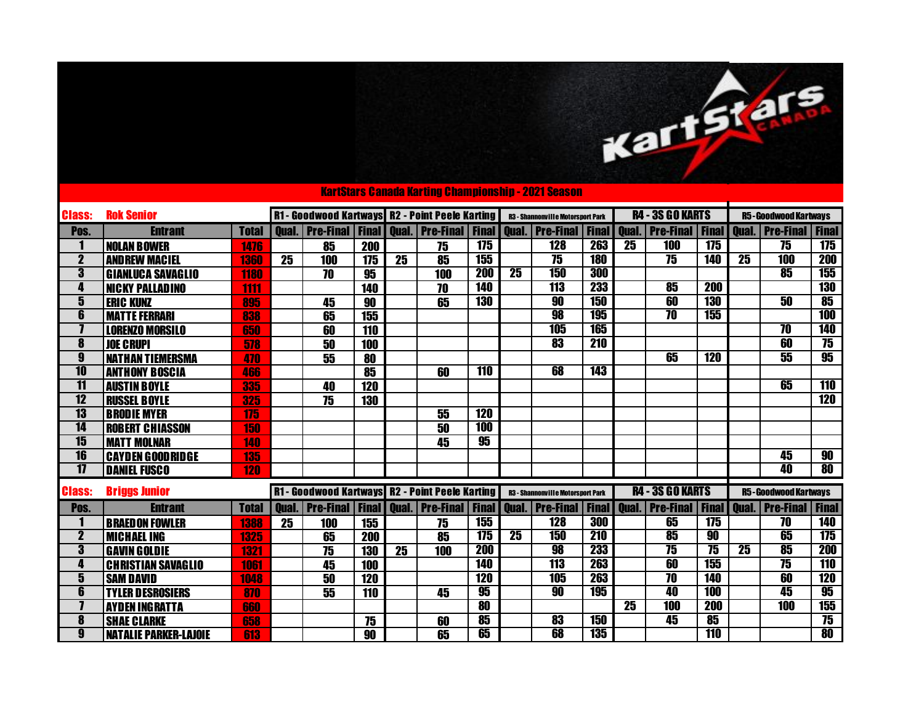|                         |                              |              |    |                 |                          |                 |                                                                |            |                 | <b>KartStars Canada Karting Championship - 2021 Season</b> |            |                 |                                              |                  |                 |                                              |                          |
|-------------------------|------------------------------|--------------|----|-----------------|--------------------------|-----------------|----------------------------------------------------------------|------------|-----------------|------------------------------------------------------------|------------|-----------------|----------------------------------------------|------------------|-----------------|----------------------------------------------|--------------------------|
| <b>Class:</b>           | <b>Rok Senior</b>            |              |    |                 |                          |                 | R1 - Goodwood Kartways R2 - Point Peele Karting                |            |                 | <b>R3 - Shannonville Motorsport Park</b>                   |            |                 | <b>R4 - 3S GO KARTS</b>                      |                  |                 | <b>R5-Goodwood Kartways</b>                  |                          |
| Pos.                    | <b>Entrant</b>               | <b>Total</b> |    |                 |                          |                 | <b>Oual.</b>   Pre-Final   Final   Oual.   Pre-Final   Final   |            |                 | <b>Oual. Pre-Final Final</b>                               |            | Qual.           | <b>Pre-Final   Final   Qual.   Pre-Final</b> |                  |                 |                                              | <b>Final</b>             |
| 1                       | <b>NOLAN BOWER</b>           | 1476         |    | 85              | 200                      |                 | 75                                                             | 175        |                 | <b>128</b>                                                 | 263        | $\overline{25}$ | <b>100</b>                                   | 175              |                 | 75                                           | 175                      |
| $\overline{\mathbf{2}}$ | <b>AND REW MACIEL</b>        | 1360         | 25 | 100             | 175                      | $\overline{25}$ | 85                                                             | 155        |                 | 75                                                         | <b>180</b> |                 | $\overline{75}$                              | <b>140</b>       | $\overline{25}$ | <b>100</b>                                   | 200                      |
| 3                       | <b>GIANLUCA SAVAGLIO</b>     | 1180         |    | 70              | 95                       |                 | 100                                                            | <b>200</b> | $\overline{25}$ | <b>150</b>                                                 | 300        |                 |                                              |                  |                 | 85                                           | 155                      |
| 4                       | <b>NICKY PALLADINO</b>       | 1111         |    |                 | 140                      |                 | 70                                                             | <b>140</b> |                 | <b>113</b>                                                 | 233        |                 | 85                                           | 200              |                 |                                              | <b>130</b>               |
| 5                       | <b>ERIC KUNZ</b>             | 895          |    | 45              | 90                       |                 | 65                                                             | <b>130</b> |                 | 90                                                         | <b>150</b> |                 | 60                                           | <b>130</b>       |                 | 50                                           | 85                       |
| 6                       | <b>MATTE FERRARI</b>         | 838          |    | 65              | 155                      |                 |                                                                |            |                 | 98                                                         | <b>195</b> |                 | $\overline{\bf 70}$                          | 155              |                 |                                              | <b>100</b>               |
| 7                       | <b>LORENZO MORSILO</b>       | 650          |    | $\overline{60}$ | $\overline{110}$         |                 |                                                                |            |                 | 105                                                        | <b>165</b> |                 |                                              |                  |                 | $\overline{10}$                              | <b>140</b>               |
| 8                       | <b>JOE CRUPI</b>             | 578          |    | $\overline{50}$ | 100                      |                 |                                                                |            |                 | 83                                                         | <b>210</b> |                 |                                              |                  |                 | 60                                           | 75                       |
| $\overline{\mathbf{g}}$ | <b>NATHAN TIEMERSMA</b>      | 470          |    | 55              | 80                       |                 |                                                                |            |                 |                                                            |            |                 | 65                                           | <b>120</b>       |                 | 55                                           | 95                       |
| $\overline{10}$         | <b>ANTHONY BOSCIA</b>        | 466          |    |                 | $\overline{\textbf{85}}$ |                 | 60                                                             | <b>110</b> |                 | 68                                                         | <b>143</b> |                 |                                              |                  |                 |                                              |                          |
| $\overline{11}$         | <b>AUSTIN BOYLE</b>          | 335          |    | 40              | 120                      |                 |                                                                |            |                 |                                                            |            |                 |                                              |                  |                 | 65                                           | 110                      |
| $\overline{12}$         | <b>RUSSEL BOYLE</b>          | 325          |    | 75              | 130                      |                 |                                                                |            |                 |                                                            |            |                 |                                              |                  |                 |                                              | 120                      |
| $\overline{13}$         | <b>BRODIE MYER</b>           | 175          |    |                 |                          |                 | 55                                                             | <b>120</b> |                 |                                                            |            |                 |                                              |                  |                 |                                              |                          |
| $\overline{14}$         | <b>ROBERT CHIASSON</b>       | 150          |    |                 |                          |                 | 50                                                             | <b>100</b> |                 |                                                            |            |                 |                                              |                  |                 |                                              |                          |
| 15                      | <b>MATT MOLNAR</b>           | 140          |    |                 |                          |                 | 45                                                             | 95         |                 |                                                            |            |                 |                                              |                  |                 |                                              |                          |
| $\overline{16}$         | <b>CAYDEN GOODRIDGE</b>      | 135          |    |                 |                          |                 |                                                                |            |                 |                                                            |            |                 |                                              |                  |                 | 45                                           | 90                       |
| 17                      | <b>DANIEL FUSCO</b>          | 120          |    |                 |                          |                 |                                                                |            |                 |                                                            |            |                 |                                              |                  |                 | 40                                           | $\overline{\mathbf{80}}$ |
| <b>Class:</b>           | <b>Briggs Junior</b>         |              |    |                 |                          |                 | <b>R1- Goodwood Kartways R2 - Point Peele Karting</b>          |            |                 | <b>R3 - Shannonville Motorsport Park</b>                   |            |                 | <b>R4 - 3S GO KARTS</b>                      |                  |                 | <b>R5-Goodwood Kartways</b>                  |                          |
| Pos.                    | <b>Entrant</b>               | <b>Total</b> |    |                 |                          |                 | <b>Oual.   Pre-Final   Final   Qual.   Pre-Final   Final  </b> |            | <b>Oual.</b>    | <b>Pre-Final   Final   Qual.  </b>                         |            |                 |                                              |                  |                 | <b>Pre-Final   Final   Qual.   Pre-Final</b> | <b>Final</b>             |
| 1                       | <b>BRAEDON FOWLER</b>        | 1388         | 25 | 100             | 155                      |                 | 75                                                             | 155        |                 | 128                                                        | 300        |                 | 65                                           | $\overline{175}$ |                 | $\overline{10}$                              | <b>140</b>               |
| $\overline{\mathbf{2}}$ | <b>MICHAEL ING</b>           | 1325         |    | 65              | <b>200</b>               |                 | 85                                                             | 175        | $\overline{25}$ | 150                                                        | <b>210</b> |                 | 85                                           | 90               |                 | 65                                           | 175                      |
| $\overline{\mathbf{3}}$ | <b>GAVIN GOLDIE</b>          | 1321         |    | $\overline{75}$ | $\overline{130}$         | $\overline{25}$ | 100                                                            | 200        |                 | 98                                                         | <b>233</b> |                 | $\overline{75}$                              | $\overline{75}$  | $\overline{25}$ | 85                                           | 200                      |
| 4                       | <b>CHRISTIAN SAVAGLIO</b>    | 1061         |    | 45              | 100                      |                 |                                                                | <b>140</b> |                 | <b>113</b>                                                 | 263        |                 | 60                                           | 155              |                 | $\overline{75}$                              | <b>110</b>               |
| 5                       | <b>SAM DAVID</b>             | 1048         |    | 50              | 120                      |                 |                                                                | <b>120</b> |                 | 105                                                        | 263        |                 | $\overline{\bf 70}$                          | <b>140</b>       |                 | 60                                           | <b>120</b>               |
| 6                       | <b>TYLER DESROSIERS</b>      | 870          |    | 55              | 110                      |                 | 45                                                             | 95         |                 | 90                                                         | <b>195</b> |                 | 40                                           | <b>100</b>       |                 | 45                                           | 95                       |
|                         | <b>AYDEN INGRATTA</b>        | 660          |    |                 |                          |                 |                                                                | 80         |                 |                                                            |            | $\overline{25}$ | <b>100</b>                                   | <b>200</b>       |                 | <b>100</b>                                   | 155                      |
| 8                       | <b>SHAE CLARKE</b>           | 658          |    |                 | 75                       |                 | 60                                                             | 85         |                 | $\overline{\bf 83}$                                        | <b>150</b> |                 | 45                                           | 85               |                 |                                              | $\overline{75}$          |
| 9                       | <b>NATALIE PARKER-LAJOIE</b> | 613          |    |                 | 90                       |                 | 65                                                             | 65         |                 | 68                                                         | 135        |                 |                                              | <b>110</b>       |                 |                                              | $\overline{\bf 80}$      |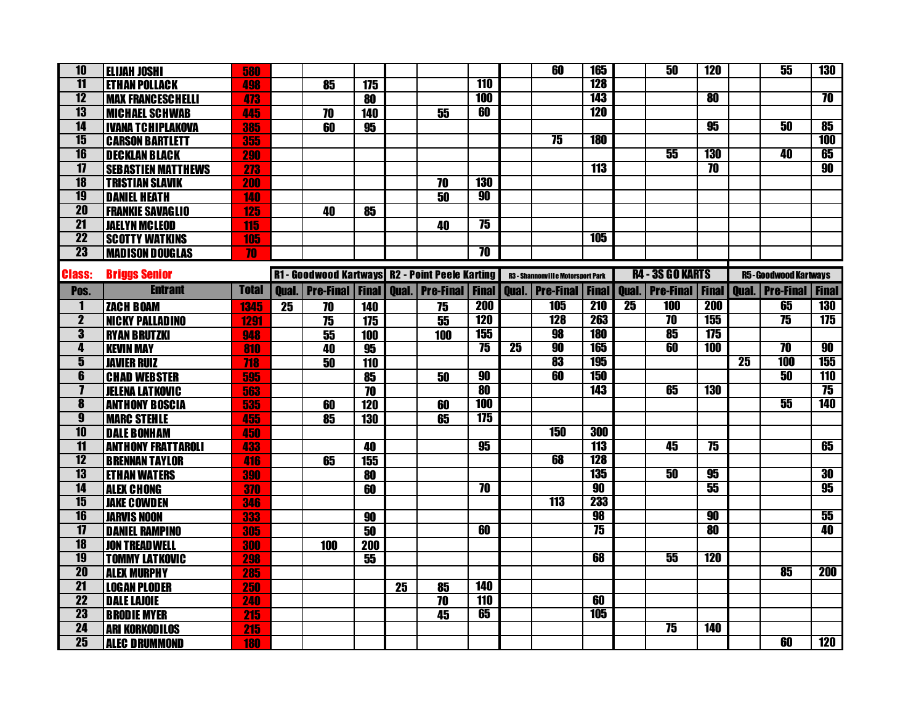| $\overline{10}$         | <b>ELIJAH JOSHI</b>       | 580          |    |                                                      |                  |    |                 |                     |                 | 60                                       | <b>165</b>      |                 | 50                      | <b>120</b>               |                 | 55                                                    | <b>130</b>      |
|-------------------------|---------------------------|--------------|----|------------------------------------------------------|------------------|----|-----------------|---------------------|-----------------|------------------------------------------|-----------------|-----------------|-------------------------|--------------------------|-----------------|-------------------------------------------------------|-----------------|
| $\overline{11}$         | <b>ETHAN POLLACK</b>      | 498          |    | 85                                                   | $\overline{175}$ |    |                 | <b>110</b>          |                 |                                          | <b>128</b>      |                 |                         |                          |                 |                                                       |                 |
| $\overline{12}$         | <b>MAX FRANCESCHELLI</b>  | 473          |    |                                                      | 80               |    |                 | <b>100</b>          |                 |                                          | 143             |                 |                         | $\overline{\bf 80}$      |                 |                                                       | $\overline{70}$ |
| 13                      | <b>MICHAEL SCHWAB</b>     | 445          |    | $\overline{70}$                                      | <b>140</b>       |    | $\overline{55}$ | 60                  |                 |                                          | <b>120</b>      |                 |                         |                          |                 |                                                       |                 |
| $\overline{14}$         | <b>IVANA TCHIPLAKOVA</b>  | 385          |    | 60                                                   | 95               |    |                 |                     |                 |                                          |                 |                 |                         | $\overline{95}$          |                 | 50                                                    | 85              |
| $\overline{15}$         | <b>CARSON BARTLETT</b>    | 355          |    |                                                      |                  |    |                 |                     |                 | 75                                       | <b>180</b>      |                 |                         |                          |                 |                                                       | <b>100</b>      |
| $\overline{16}$         | <b>DECKLAN BLACK</b>      | <b>290</b>   |    |                                                      |                  |    |                 |                     |                 |                                          |                 |                 | 55                      | <b>130</b>               |                 | 40                                                    | 65              |
| $\overline{17}$         | <b>SEBASTIEN MATTHEWS</b> | 273          |    |                                                      |                  |    |                 |                     |                 |                                          | <b>113</b>      |                 |                         | $\overline{\bf 70}$      |                 |                                                       | 90              |
| $\overline{18}$         | <b>TRISTIAN SLAVIK</b>    | 200          |    |                                                      |                  |    | 70              | <b>130</b>          |                 |                                          |                 |                 |                         |                          |                 |                                                       |                 |
| <b>19</b>               | <b>DANIEL HEATH</b>       | 140          |    |                                                      |                  |    | 50              | 90                  |                 |                                          |                 |                 |                         |                          |                 |                                                       |                 |
| <b>20</b>               | <b>FRANKIE SAVAGLIO</b>   | 125          |    | 40                                                   | 85               |    |                 |                     |                 |                                          |                 |                 |                         |                          |                 |                                                       |                 |
| $\overline{21}$         | <b>JAELYN MCLEOD</b>      | 115          |    |                                                      |                  |    | 40              | $\overline{75}$     |                 |                                          |                 |                 |                         |                          |                 |                                                       |                 |
| $\overline{22}$         | <b>SCOTTY WATKINS</b>     | 105          |    |                                                      |                  |    |                 |                     |                 |                                          | <b>105</b>      |                 |                         |                          |                 |                                                       |                 |
| $\overline{23}$         | <b>MADISON DOUGLAS</b>    | 70           |    |                                                      |                  |    |                 | $\overline{\bf 70}$ |                 |                                          |                 |                 |                         |                          |                 |                                                       |                 |
| <b>Class:</b>           | <b>Briggs Senior</b>      |              |    | R1 - Goodwood Kartways R2 - Point Peele Karting      |                  |    |                 |                     |                 | <b>R3 - Shannonville Motorsport Park</b> |                 |                 | <b>R4 - 3S GO KARTS</b> |                          |                 | <b>R5-Goodwood Kartways</b>                           |                 |
| Pos.                    | <b>Entrant</b>            | <b>Total</b> |    | <b>Oual.   Pre-Final   Final   Oual.   Pre-Final</b> |                  |    |                 | <b>Final</b>        |                 | <b>Qual.   Pre-Final   Final  </b>       |                 |                 |                         |                          |                 | Qual.   Pre-Final   Final   Qual.   Pre-Final   Final |                 |
| 1                       | <b>ZACH BOAM</b>          | 1345         | 25 | 70                                                   | 140              |    | 75              | <b>200</b>          |                 | <b>105</b>                               | <b>210</b>      | $\overline{25}$ | <b>100</b>              | <b>200</b>               |                 | 65                                                    | <b>130</b>      |
| $\overline{\mathbf{2}}$ | <b>NICKY PALLADINO</b>    | 1291         |    | $\overline{75}$                                      | 175              |    | $\overline{55}$ | <b>120</b>          |                 | <b>128</b>                               | 263             |                 | $\overline{\bf 70}$     | 155                      |                 | $\overline{75}$                                       | 175             |
| $\overline{\mathbf{3}}$ | <b>RYAN BRUTZKI</b>       | 948          |    | 55                                                   | 100              |    | 100             | <b>155</b>          |                 | 98                                       | <b>180</b>      |                 | 85                      | 175                      |                 |                                                       |                 |
| $\overline{\mathbf{4}}$ | <b>KEVIN MAY</b>          | 810          |    | 40                                                   | 95               |    |                 | $\overline{75}$     | $\overline{25}$ | 90                                       | <b>165</b>      |                 | 60                      | <b>100</b>               |                 | $\overline{10}$                                       | 90              |
| $\overline{\mathbf{5}}$ | <b>JAVIER RUIZ</b>        | 718          |    | 50                                                   | 110              |    |                 |                     |                 | 83                                       | <b>195</b>      |                 |                         |                          | $\overline{25}$ | <b>100</b>                                            | 155             |
| 6                       | <b>CHAD WEBSTER</b>       | 595          |    |                                                      | 85               |    | 50              | 90                  |                 | 60                                       | <b>150</b>      |                 |                         |                          |                 | 50                                                    | <b>110</b>      |
| $\overline{\mathbf{1}}$ | <b>JELENA LATKOVIC</b>    | 563          |    |                                                      | 70               |    |                 | 80                  |                 |                                          | 143             |                 | 65                      | <b>130</b>               |                 |                                                       | 75              |
| $\overline{\mathbf{8}}$ | <b>ANTHONY BOSCIA</b>     | 535          |    | 60                                                   | 120              |    | 60              | <b>100</b>          |                 |                                          |                 |                 |                         |                          |                 | 55                                                    | <b>140</b>      |
| $\overline{\mathbf{g}}$ | <b>MARC STEHLE</b>        | 455          |    | 85                                                   | <b>130</b>       |    | 65              | 175                 |                 |                                          |                 |                 |                         |                          |                 |                                                       |                 |
| $\overline{10}$         | <b>DALE BONHAM</b>        | 450          |    |                                                      |                  |    |                 |                     |                 | <b>150</b>                               | 300             |                 |                         |                          |                 |                                                       |                 |
| $\overline{11}$         | <b>ANTHONY FRATTAROLI</b> | 433          |    |                                                      | 40               |    |                 | 95                  |                 |                                          | <b>113</b>      |                 | 45                      | 75                       |                 |                                                       | 65              |
| 12                      | <b>BRENNAN TAYLOR</b>     | 416          |    | 65                                                   | 155              |    |                 |                     |                 | 68                                       | <b>128</b>      |                 |                         |                          |                 |                                                       |                 |
| 13                      | <b>ETHAN WATERS</b>       | 390          |    |                                                      | 80               |    |                 |                     |                 |                                          | <b>135</b>      |                 | 50                      | 95                       |                 |                                                       | 30              |
| $\overline{14}$         | <b>ALEX CHONG</b>         | 370          |    |                                                      | 60               |    |                 | $\overline{10}$     |                 |                                          | 90              |                 |                         | 55                       |                 |                                                       | 95              |
| $\overline{15}$         | <b>JAKE COWDEN</b>        | 346          |    |                                                      |                  |    |                 |                     |                 | $\overline{113}$                         | 233             |                 |                         |                          |                 |                                                       |                 |
| $\overline{16}$         | <b>JARVIS NOON</b>        | 333          |    |                                                      | 90               |    |                 |                     |                 |                                          | 98              |                 |                         | 90                       |                 |                                                       | 55              |
| $\overline{1}$          | <b>DANIEL RAMPINO</b>     | 305          |    |                                                      | 50               |    |                 | 60                  |                 |                                          | $\overline{75}$ |                 |                         | $\overline{\mathbf{80}}$ |                 |                                                       | 40              |
| $\overline{18}$         | <b>JON TREADWELL</b>      | 300          |    | 100                                                  | 200              |    |                 |                     |                 |                                          |                 |                 |                         |                          |                 |                                                       |                 |
| <b>19</b>               | <b>TOMMY LATKOVIC</b>     | 298          |    |                                                      | 55               |    |                 |                     |                 |                                          | 68              |                 | 55                      | <b>120</b>               |                 |                                                       |                 |
| <b>20</b>               | <b>ALEX MURPHY</b>        | 285          |    |                                                      |                  |    |                 |                     |                 |                                          |                 |                 |                         |                          |                 | $\overline{\textbf{85}}$                              | <b>200</b>      |
| $\overline{21}$         | <b>LOGAN PLODER</b>       | 250          |    |                                                      |                  | 25 | 85              | <b>140</b>          |                 |                                          |                 |                 |                         |                          |                 |                                                       |                 |
| $\overline{22}$         | <b>DALE LAJOIE</b>        | 240          |    |                                                      |                  |    | 70              | 110                 |                 |                                          | 60              |                 |                         |                          |                 |                                                       |                 |
| $\overline{23}$         | <b>BRODIE MYER</b>        | 215          |    |                                                      |                  |    | 45              | 65                  |                 |                                          | <b>105</b>      |                 |                         |                          |                 |                                                       |                 |
| 24                      | <b>ARI KORKODILOS</b>     | 215          |    |                                                      |                  |    |                 |                     |                 |                                          |                 |                 | 75                      | <b>140</b>               |                 |                                                       |                 |
| 25                      | <b>ALEC DRUMMOND</b>      | 180          |    |                                                      |                  |    |                 |                     |                 |                                          |                 |                 |                         |                          |                 | 60                                                    | 120             |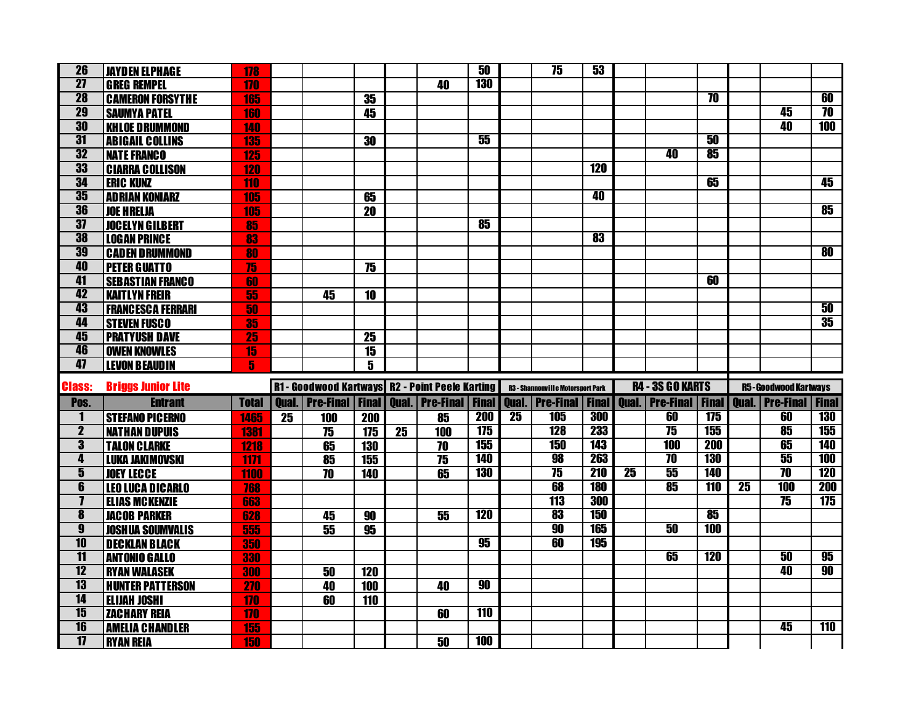| 26                                                 | <b>JAYDEN ELPHAGE</b>                       | 178             |    |                                                 |                  |                 |                            | 50           |                 | 75                                       | 53                |                 |                         |                 |                 |                                                       |                     |
|----------------------------------------------------|---------------------------------------------|-----------------|----|-------------------------------------------------|------------------|-----------------|----------------------------|--------------|-----------------|------------------------------------------|-------------------|-----------------|-------------------------|-----------------|-----------------|-------------------------------------------------------|---------------------|
| $\overline{27}$                                    | <b>GREG REMPEL</b>                          | 170             |    |                                                 |                  |                 | 40                         | <b>130</b>   |                 |                                          |                   |                 |                         |                 |                 |                                                       |                     |
| <b>28</b>                                          | <b>CAMERON FORSYTHE</b>                     | 165             |    |                                                 | 35               |                 |                            |              |                 |                                          |                   |                 |                         | $\overline{10}$ |                 |                                                       | 60                  |
| 29                                                 | <b>SAUMYA PATEL</b>                         | 160             |    |                                                 | 45               |                 |                            |              |                 |                                          |                   |                 |                         |                 |                 | 45                                                    | $\overline{10}$     |
| 30                                                 | <b>KHLOE DRUMMOND</b>                       | 140             |    |                                                 |                  |                 |                            |              |                 |                                          |                   |                 |                         |                 |                 | 40                                                    | <b>100</b>          |
| $\overline{31}$                                    | <b>ABIGAIL COLLINS</b>                      | <b>135</b>      |    |                                                 | 30               |                 |                            | 55           |                 |                                          |                   |                 |                         | 50              |                 |                                                       |                     |
| 32                                                 | <b>NATE FRANCO</b>                          | 125             |    |                                                 |                  |                 |                            |              |                 |                                          |                   |                 | 40                      | 85              |                 |                                                       |                     |
| 33                                                 | <b>CIARRA COLLISON</b>                      | <b>120</b>      |    |                                                 |                  |                 |                            |              |                 |                                          | <b>120</b>        |                 |                         |                 |                 |                                                       |                     |
| 34                                                 | <b>ERIC KUNZ</b>                            | 110             |    |                                                 |                  |                 |                            |              |                 |                                          |                   |                 |                         | 65              |                 |                                                       | 45                  |
| 35                                                 | <b>ADRIAN KONIARZ</b>                       | 105             |    |                                                 | 65               |                 |                            |              |                 |                                          | 40                |                 |                         |                 |                 |                                                       |                     |
| 36                                                 | <b>JOE HRELJA</b>                           | <b>105</b>      |    |                                                 | $\overline{20}$  |                 |                            |              |                 |                                          |                   |                 |                         |                 |                 |                                                       | 85                  |
| $\overline{37}$                                    | <b>JOCELYN GILBERT</b>                      | 85              |    |                                                 |                  |                 |                            | 85           |                 |                                          |                   |                 |                         |                 |                 |                                                       |                     |
| 38                                                 | <b>LOGAN PRINCE</b>                         | 83              |    |                                                 |                  |                 |                            |              |                 |                                          | 83                |                 |                         |                 |                 |                                                       |                     |
| 39                                                 | <b>CADEN DRUMMOND</b>                       | 80              |    |                                                 |                  |                 |                            |              |                 |                                          |                   |                 |                         |                 |                 |                                                       | $\overline{\bf 80}$ |
| 40                                                 | <b>PETER GUATTO</b>                         | $\overline{75}$ |    |                                                 | $\overline{75}$  |                 |                            |              |                 |                                          |                   |                 |                         |                 |                 |                                                       |                     |
| 41                                                 | <b>SEBASTIAN FRANCO</b>                     | 60              |    |                                                 |                  |                 |                            |              |                 |                                          |                   |                 |                         | 60              |                 |                                                       |                     |
| 42                                                 | <b>KAITLYN FREIR</b>                        | 55              |    | 45                                              | 10               |                 |                            |              |                 |                                          |                   |                 |                         |                 |                 |                                                       |                     |
| 43                                                 | <b>FRANCESCA FERRARI</b>                    | 50              |    |                                                 |                  |                 |                            |              |                 |                                          |                   |                 |                         |                 |                 |                                                       | 50                  |
| 44                                                 | <b>STEVEN FUSCO</b>                         | 35              |    |                                                 |                  |                 |                            |              |                 |                                          |                   |                 |                         |                 |                 |                                                       | 35                  |
| 45                                                 | <b>PRATYUSH DAVE</b>                        | 25              |    |                                                 | 25               |                 |                            |              |                 |                                          |                   |                 |                         |                 |                 |                                                       |                     |
| 46                                                 | <b>OWEN KNOWLES</b>                         | $\overline{15}$ |    |                                                 | $\overline{15}$  |                 |                            |              |                 |                                          |                   |                 |                         |                 |                 |                                                       |                     |
|                                                    |                                             |                 |    |                                                 |                  |                 |                            |              |                 |                                          |                   |                 |                         |                 |                 |                                                       |                     |
| 47                                                 | <b>LEVON BEAUDIN</b>                        | 5               |    |                                                 | 5                |                 |                            |              |                 |                                          |                   |                 |                         |                 |                 |                                                       |                     |
|                                                    |                                             |                 |    |                                                 |                  |                 |                            |              |                 |                                          |                   |                 |                         |                 |                 |                                                       |                     |
| <b>Class:</b>                                      | <b>Briggs Junior Lite</b>                   |                 |    | R1 - Goodwood Kartways R2 - Point Peele Karting |                  |                 |                            |              |                 | <b>R3 - Shannonville Motorsport Park</b> |                   |                 | <b>R4 - 3S GO KARTS</b> |                 |                 | <b>R5-Goodwood Kartways</b>                           |                     |
| Pos.                                               | <b>Entrant</b>                              | <b>Total</b>    |    | <b>Qual.</b>   Pre-Final   Final                |                  |                 | <b>Qual.   Pre-Final  </b> | <b>Final</b> |                 | Qual.   Pre-Final   Final                |                   |                 |                         |                 |                 | Qual.   Pre-Final   Final   Qual.   Pre-Final   Final |                     |
| 1                                                  | <b>STEFANO PICERNO</b>                      | 1465            | 25 | 100                                             | <b>200</b>       |                 | 85                         | <b>200</b>   | $\overline{25}$ | <b>105</b>                               | 300               |                 | 60                      | 175             |                 | 60                                                    | <b>130</b>          |
| $\overline{\mathbf{2}}$                            | <b>NATHAN DUPUIS</b>                        | 1381            |    | 75                                              | $\overline{175}$ | $\overline{25}$ | 100                        | 175          |                 | <b>128</b>                               | 233               |                 | $\overline{75}$         | 155             |                 | 85                                                    | <b>155</b>          |
| $\overline{\mathbf{3}}$                            | <b>TALON CLARKE</b>                         | 1218            |    | 65                                              | 130              |                 | 70                         | 155          |                 | 150                                      | <b>143</b>        |                 | <b>100</b>              | 200             |                 | 65                                                    | <b>140</b>          |
| 4                                                  | <b>LUKA JAKIMOVSKI</b>                      | 1171            |    | $\overline{\textbf{85}}$                        | 155              |                 | 75                         | <b>140</b>   |                 | 98                                       | 263               |                 | $\overline{10}$         | <b>130</b>      |                 | 55                                                    | <b>100</b>          |
| $\overline{\mathbf{5}}$                            | <b>JOEY LECCE</b>                           | 1100            |    | 70                                              | 140              |                 | 65                         | <b>130</b>   |                 | 75                                       | <b>210</b>        | $\overline{25}$ | 55                      | <b>140</b>      |                 | $\overline{\bf 70}$                                   | <b>120</b>          |
| $\overline{\mathbf{6}}$<br>$\overline{\mathbf{I}}$ | <b>LEO LUCA DICARLO</b>                     | 768             |    |                                                 |                  |                 |                            |              |                 | 68<br><b>113</b>                         | <b>180</b><br>300 |                 | 85                      | <b>110</b>      | $\overline{25}$ | <b>100</b><br>75                                      | <b>200</b><br>175   |
| $\overline{\mathbf{8}}$                            | <b>ELIAS MCKENZIE</b>                       | 663             |    |                                                 |                  |                 |                            | <b>120</b>   |                 | 83                                       | <b>150</b>        |                 |                         | 85              |                 |                                                       |                     |
| $\overline{\mathbf{g}}$                            | <b>JACOB PARKER</b>                         | 628             |    | 45                                              | 90<br>95         |                 | 55                         |              |                 | 90                                       | <b>165</b>        |                 | 50                      | <b>100</b>      |                 |                                                       |                     |
| $\overline{10}$                                    | <b>JOSHUA SOUMVALIS</b>                     | 555             |    | 55                                              |                  |                 |                            | 95           |                 | 60                                       | <b>195</b>        |                 |                         |                 |                 |                                                       |                     |
| $\overline{11}$                                    | <b>DECKLAN BLACK</b>                        | 350             |    |                                                 |                  |                 |                            |              |                 |                                          |                   |                 | 65                      | <b>120</b>      |                 | 50                                                    | 95                  |
| $\overline{12}$                                    | <b>ANTONIO GALLO</b><br><b>RYAN WALASEK</b> | 330             |    | $\overline{50}$                                 | 120              |                 |                            |              |                 |                                          |                   |                 |                         |                 |                 | 40                                                    | 90                  |
| $\overline{13}$                                    | <b>HUNTER PATTERSON</b>                     | 300<br>270      |    | 40                                              | 100              |                 | 40                         | 90           |                 |                                          |                   |                 |                         |                 |                 |                                                       |                     |
| $\overline{14}$                                    | <b>ELIJAH JOSHI</b>                         | 170             |    | $\overline{\bf 60}$                             | 110              |                 |                            |              |                 |                                          |                   |                 |                         |                 |                 |                                                       |                     |
| 15                                                 | <b>ZACHARY REIA</b>                         | 170             |    |                                                 |                  |                 | 60                         | <b>110</b>   |                 |                                          |                   |                 |                         |                 |                 |                                                       |                     |
| $\overline{\mathbf{16}}$                           | <b>AMELIA CHANDLER</b>                      | 155             |    |                                                 |                  |                 |                            |              |                 |                                          |                   |                 |                         |                 |                 | 45                                                    | 110                 |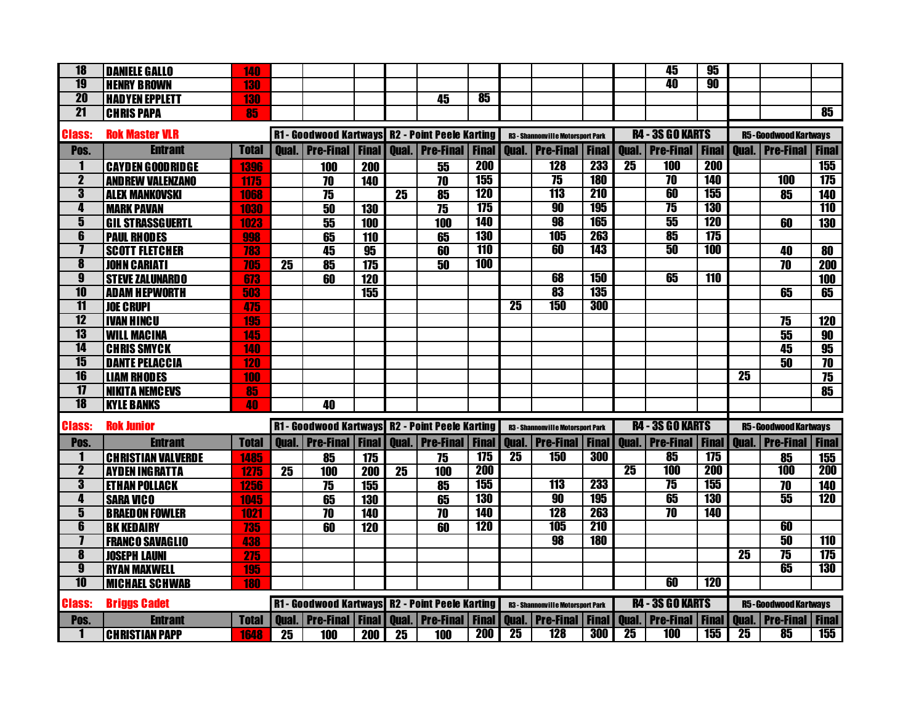| $\overline{18}$                                    | <b>DANIELE GALLO</b>                          | 140          |              |                                                        |              |    |                           |              |                 |                                                  |                |                 | 45                               | 95           |                 |                              |                   |
|----------------------------------------------------|-----------------------------------------------|--------------|--------------|--------------------------------------------------------|--------------|----|---------------------------|--------------|-----------------|--------------------------------------------------|----------------|-----------------|----------------------------------|--------------|-----------------|------------------------------|-------------------|
| <b>19</b>                                          | <b>HENRY BROWN</b>                            | 130          |              |                                                        |              |    |                           |              |                 |                                                  |                |                 | 40                               | 90           |                 |                              |                   |
| 20                                                 | <b>HADYEN EPPLETT</b>                         | <b>130</b>   |              |                                                        |              |    | 45                        | 85           |                 |                                                  |                |                 |                                  |              |                 |                              |                   |
| $\overline{21}$                                    | <b>CHRIS PAPA</b>                             | 85           |              |                                                        |              |    |                           |              |                 |                                                  |                |                 |                                  |              |                 |                              | 85                |
|                                                    |                                               |              |              |                                                        |              |    |                           |              |                 |                                                  |                |                 | <b>R4 - 3S GO KARTS</b>          |              |                 |                              |                   |
| <b>Class:</b>                                      | <b>Rok Master VLR</b>                         |              |              | <b>R1- Goodwood Kartways R2 - Point Peele Karting</b>  |              |    |                           |              |                 | <b>R3 - Shannonville Motorsport Park</b>         |                |                 |                                  |              |                 | <b>R5-Goodwood Kartways</b>  |                   |
| Pos.                                               | <b>Entrant</b>                                | <b>Total</b> | <b>Oual.</b> | <b>Pre-Final</b>                                       | <b>Final</b> |    | <b>Oual.</b> Pre-Final    | <b>Final</b> | <b>Oual.</b>    | <b>Pre-Final</b>                                 | <b>Final</b>   | <b>Qual.</b>    | <b>.   Pre-Final</b>             | <b>Final</b> | <b>Oual</b>     | <b>Pre-Final</b>             | <b>Final</b>      |
| $\mathbf{1}$                                       | <b>CAYDEN GOODRIDGE</b>                       | 1396         |              | 100                                                    | 200          |    | 55                        | <b>200</b>   |                 | <b>128</b>                                       | <b>233</b>     | 25              | <b>100</b>                       | <b>200</b>   |                 |                              | 155               |
| $\mathbf 2$                                        | <b>AND REW VALENZANO</b>                      | 1175         |              | 70                                                     | 140          |    | 70                        | 155          |                 | $\overline{75}$                                  | <b>180</b>     |                 | $\overline{10}$                  | <b>140</b>   |                 | <b>100</b>                   | 175               |
| $\overline{\mathbf{3}}$                            | <b>ALEX MANKOVSKI</b>                         | 1068         |              | 75                                                     |              | 25 | 85                        | <b>120</b>   |                 | 113                                              | <b>210</b>     |                 | 60                               | 155          |                 | 85                           | 140               |
| 4                                                  | <b>MARK PAVAN</b>                             | 1030         |              | 50                                                     | 130          |    | 75                        | 175          |                 | 90                                               | <b>195</b>     |                 | $\overline{75}$                  | <b>130</b>   |                 |                              | <b>110</b>        |
| $\overline{\mathbf{5}}$                            | <b>GIL STRASSGUERTL</b>                       | 1023         |              | 55                                                     | 100          |    | 100                       | <b>140</b>   |                 | 98                                               | 165            |                 | 55                               | <b>120</b>   |                 | 60                           | 130               |
| $\overline{\mathbf{6}}$                            | <b>PAUL RHODES</b>                            | 998          |              | 65                                                     | 110          |    | 65                        | <b>130</b>   |                 | 105                                              | 263            |                 | 85                               | 175          |                 |                              |                   |
| $\overline{\mathbf{I}}$                            | <b>SCOTT FLETCHER</b>                         | 783          |              | 45                                                     | 95           |    | 60                        | <b>110</b>   |                 | 60                                               | <b>143</b>     |                 | 50                               | <b>100</b>   |                 | 40                           | 80                |
| $\overline{\mathbf{8}}$                            | <b>JOHN CARIATI</b>                           | 705          | 25           | 85                                                     | 175          |    | 50                        | <b>100</b>   |                 |                                                  |                |                 |                                  |              |                 | 70                           | 200               |
| $\overline{\mathbf{g}}$                            | <b>STEVE ZALUNARDO</b>                        | 673          |              | 60                                                     | 120          |    |                           |              |                 | 68                                               | <b>150</b>     |                 | 65                               | <b>110</b>   |                 |                              | 100               |
| $\overline{10}$                                    | <b>ADAM HEPWORTH</b>                          | 503          |              |                                                        | 155          |    |                           |              |                 | 83                                               | <b>135</b>     |                 |                                  |              |                 | 65                           | 65                |
| $\overline{11}$                                    | <b>JOE CRUPI</b>                              | 475          |              |                                                        |              |    |                           |              | $\overline{25}$ | 150                                              | 300            |                 |                                  |              |                 |                              |                   |
| $\overline{12}$                                    | <b>IVAN HINCU</b>                             | 195          |              |                                                        |              |    |                           |              |                 |                                                  |                |                 |                                  |              |                 | 75                           | 120               |
| 13                                                 | <b>WILL MACINA</b>                            | 145          |              |                                                        |              |    |                           |              |                 |                                                  |                |                 |                                  |              |                 | 55                           | 90                |
| $\overline{14}$                                    | <b>CHRIS SMYCK</b>                            | 140          |              |                                                        |              |    |                           |              |                 |                                                  |                |                 |                                  |              |                 | 45                           | 95                |
| $\overline{15}$                                    | <b>DANTE PELACCIA</b>                         | <b>120</b>   |              |                                                        |              |    |                           |              |                 |                                                  |                |                 |                                  |              |                 | 50                           | 70                |
| $\overline{16}$                                    | <b>LIAM RHODES</b>                            | 100          |              |                                                        |              |    |                           |              |                 |                                                  |                |                 |                                  |              | $\overline{25}$ |                              | 75                |
| $\overline{1}$                                     | <b>NIKITA NEMCEVS</b>                         | 85           |              |                                                        |              |    |                           |              |                 |                                                  |                |                 |                                  |              |                 |                              | 85                |
| <b>18</b>                                          | <b>KYLE BANKS</b>                             | 40           |              | 40                                                     |              |    |                           |              |                 |                                                  |                |                 |                                  |              |                 |                              |                   |
| <b>Class:</b>                                      | <b>Rok Junior</b>                             |              |              | R1 - Goodwood Kartways R2 - Point Peele Karting        |              |    |                           |              |                 | <b>R3 - Shannonville Motorsport Park</b>         |                |                 | <b>R4 - 3S GO KARTS</b>          |              |                 | <b>R5-Goodwood Kartways</b>  |                   |
|                                                    |                                               |              |              | Qual.   Pre-Final   Final   Qual.   Pre-Final          |              |    |                           | <b>Final</b> |                 |                                                  |                |                 | <b>Qual.</b>   Pre-Final   Final |              |                 | <b>Qual. Pre-Final Final</b> |                   |
| Pos.<br>1                                          | <b>Entrant</b>                                | <b>Total</b> |              |                                                        |              |    |                           | 175          | $\overline{25}$ | <b>Qual.   Pre-Final   Final  </b><br><b>150</b> | 300            |                 | 85                               | 175          |                 |                              |                   |
| $\overline{\mathbf{2}}$                            | <b>CHRISTIAN VALVERDE</b>                     | 1485         | 25           | 85                                                     | 175          |    | 75                        | <b>200</b>   |                 |                                                  |                | $\overline{25}$ | <b>100</b>                       | <b>200</b>   |                 | 85<br><b>100</b>             | 155<br><b>200</b> |
| $\overline{\mathbf{3}}$                            | <b>AYDEN INGRATTA</b><br><b>ETHAN POLLACK</b> | 1275         |              | 100                                                    | 200          | 25 | 100                       | 155          |                 | 113                                              | 233            |                 | $\overline{75}$                  | 155          |                 | 70                           | 140               |
| 4                                                  |                                               | 1256         |              | 75                                                     | 155          |    | 85                        | <b>130</b>   |                 | 90                                               | <b>195</b>     |                 | 65                               | <b>130</b>   |                 | 55                           | <b>120</b>        |
| $\overline{\mathbf{5}}$                            | <b>SARA VICO</b>                              | 1045         |              | 65<br>70                                               | <b>130</b>   |    | 65<br>70                  | <b>140</b>   |                 | 128                                              | 263            |                 | $\overline{\bf 70}$              | <b>140</b>   |                 |                              |                   |
| $\overline{\mathbf{6}}$                            | <b>BRAEDON FOWLER</b>                         | 1021         |              |                                                        | 140          |    |                           | <b>120</b>   |                 | 105                                              | <b>210</b>     |                 |                                  |              |                 | 60                           |                   |
| $\overline{\mathbf{I}}$                            | <b>BK KEDAIRY</b>                             | 735          |              | 60                                                     | 120          |    | 60                        |              |                 | 98                                               | <b>180</b>     |                 |                                  |              |                 | 50                           | <b>110</b>        |
|                                                    | <b>FRANCO SAVAGLIO</b>                        | 438          |              |                                                        |              |    |                           |              |                 |                                                  |                |                 |                                  |              | $\overline{25}$ | $\overline{75}$              |                   |
| $\overline{\mathbf{8}}$<br>$\overline{\mathbf{g}}$ | <b>JOSEPH LAUNI</b>                           | 275          |              |                                                        |              |    |                           |              |                 |                                                  |                |                 |                                  |              |                 | 65                           | 175<br><b>130</b> |
| $\overline{10}$                                    | <b>RYAN MAXWELL</b>                           | 195          |              |                                                        |              |    |                           |              |                 |                                                  |                |                 | 60                               | <b>120</b>   |                 |                              |                   |
|                                                    | <b>MICHAEL SCHWAB</b>                         | <b>180</b>   |              |                                                        |              |    |                           |              |                 |                                                  |                |                 |                                  |              |                 |                              |                   |
| <b>Class:</b>                                      | <b>Briggs Cadet</b>                           |              |              | <b>R1 - Goodwood Kartways R2 - Point Peele Karting</b> |              |    |                           |              |                 | <b>R3 - Shannonville Motorsport Park</b>         |                |                 | <b>R4 - 3S GO KARTS</b>          |              |                 | <b>R5-Goodwood Kartways</b>  |                   |
| Pos.                                               | <b>Entrant</b>                                | <b>Total</b> |              | <b>Oual.</b>   Pre-Final   Final                       |              |    | Qual.   Pre-Final   Final |              | <b>Qual.</b>    | <b>Pre-Final</b>                                 | <b>Final I</b> |                 | Qual.   Pre-Final   Final        |              |                 | Qual.   Pre-Final   Final    |                   |
|                                                    | <b>CHRISTIAN PAPP</b>                         | 1648         | 25           | 100                                                    | <b>200</b>   | 25 | 100                       | 200          | $\overline{25}$ | <b>128</b>                                       | 300            | $\overline{25}$ | <b>100</b>                       | 155          | $\overline{25}$ | 85                           | <b>155</b>        |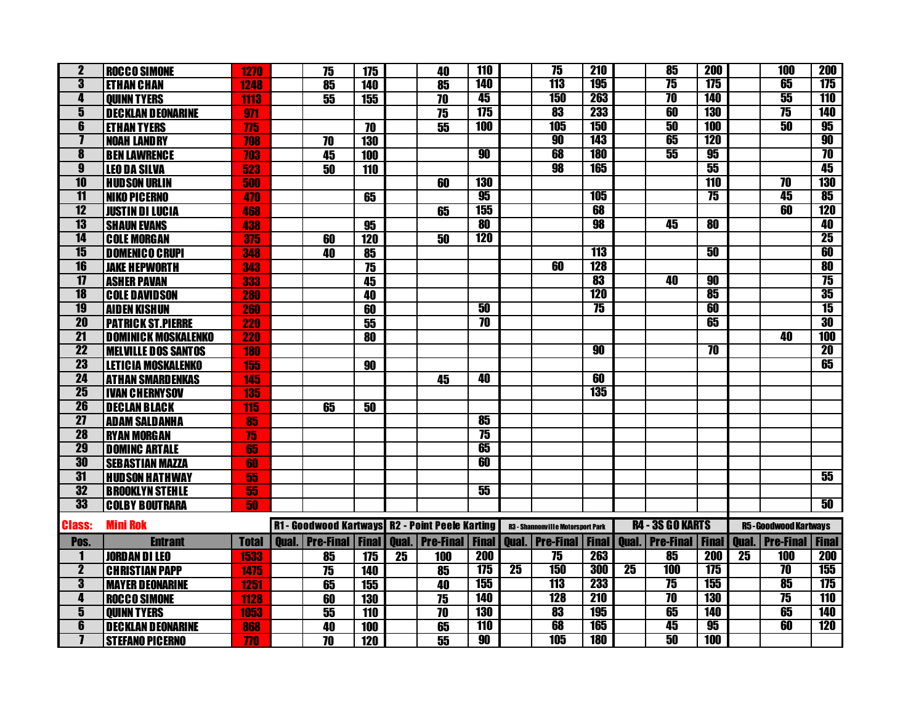|                                                    |                            |              |                            |                          |    |                                                        | 110             |                 | $\overline{75}$                          | <b>210</b>   |                 | 85                       | 200                 |                 | <b>100</b>                  | <b>200</b>      |
|----------------------------------------------------|----------------------------|--------------|----------------------------|--------------------------|----|--------------------------------------------------------|-----------------|-----------------|------------------------------------------|--------------|-----------------|--------------------------|---------------------|-----------------|-----------------------------|-----------------|
| $\overline{\mathbf{2}}$<br>$\overline{\mathbf{3}}$ | <b>ROCCO SIMONE</b>        | 1270         | $\overline{75}$            | 175                      |    | 40                                                     | <b>140</b>      |                 | <b>113</b>                               | <b>195</b>   |                 | $\overline{75}$          | 175                 |                 | 65                          | 175             |
|                                                    | <b>ETHAN CHAN</b>          | 1248         | 85                         | 140                      |    | 85                                                     | 45              |                 | <b>150</b>                               | 263          |                 | $\overline{70}$          | <b>140</b>          |                 | 55                          | 110             |
| 4                                                  | <b>OUINN TYERS</b>         | 1113         | $\overline{55}$            | 155                      |    | $\overline{70}$                                        | 175             |                 |                                          | 233          |                 | 60                       | <b>130</b>          |                 |                             |                 |
| $\overline{\mathbf{5}}$                            | <b>DECKLAN DEONARINE</b>   | 971          |                            |                          |    | 75                                                     |                 |                 | 83                                       |              |                 |                          |                     |                 | $\overline{75}$             | <b>140</b>      |
| 6                                                  | <b>ETHAN TYERS</b>         | 775          |                            | 70                       |    | 55                                                     | <b>100</b>      |                 | <b>105</b>                               | <b>150</b>   |                 | 50                       | <b>100</b>          |                 | 50                          | 95              |
| $\overline{\mathbf{I}}$                            | <b>NOAH LANDRY</b>         | 708          | 70                         | <b>130</b>               |    |                                                        |                 |                 | 90                                       | <b>143</b>   |                 | 65                       | <b>120</b>          |                 |                             | 90              |
| 8                                                  | <b>BEN LAWRENCE</b>        | 703          | 45                         | 100                      |    |                                                        | 90              |                 | 68                                       | <b>180</b>   |                 | 55                       | 95                  |                 |                             | $\overline{10}$ |
| $\overline{\mathbf{g}}$                            | <b>LEO DA SILVA</b>        | 523          | $\overline{50}$            | 110                      |    |                                                        |                 |                 | 98                                       | <b>165</b>   |                 |                          | 55                  |                 |                             | 45              |
| 10                                                 | <b>HUDSON URLIN</b>        | 500          |                            |                          |    | 60                                                     | <b>130</b>      |                 |                                          |              |                 |                          | <b>110</b>          |                 | $\overline{\bf 70}$         | <b>130</b>      |
| $\overline{11}$                                    | <b>NIKO PICERNO</b>        | 470          |                            | 65                       |    |                                                        | 95              |                 |                                          | <b>105</b>   |                 |                          | $\overline{75}$     |                 | 45                          | 85              |
| $\overline{12}$                                    | <b>JUSTIN DI LUCIA</b>     | 468          |                            |                          |    | 65                                                     | 155             |                 |                                          | 68           |                 |                          |                     |                 | 60                          | <b>120</b>      |
| 13                                                 | <b>SHAUN EVANS</b>         | 438          |                            | 95                       |    |                                                        | 80              |                 |                                          | 98           |                 | 45                       | $\overline{\bf 80}$ |                 |                             | 40              |
| $\overline{14}$                                    | <b>COLE MORGAN</b>         | 375          | 60                         | <b>120</b>               |    | 50                                                     | <b>120</b>      |                 |                                          |              |                 |                          |                     |                 |                             | 25              |
| 15                                                 | <b>DOMENICO CRUPI</b>      | 348          | 40                         | $\overline{\textbf{85}}$ |    |                                                        |                 |                 |                                          | <b>113</b>   |                 |                          | 50                  |                 |                             | 60              |
| 16                                                 | <b>JAKE HEPWORTH</b>       | 343          |                            | 75                       |    |                                                        |                 |                 | 60                                       | <b>128</b>   |                 |                          |                     |                 |                             | 80              |
| $\overline{1}$                                     | <b>ASHER PAVAN</b>         | 333          |                            | 45                       |    |                                                        |                 |                 |                                          | 83           |                 | 40                       | $\overline{90}$     |                 |                             | $\overline{75}$ |
| $\overline{18}$                                    | <b>COLE DAVIDSON</b>       | <b>280</b>   |                            | 40                       |    |                                                        |                 |                 |                                          | <b>120</b>   |                 |                          | 85                  |                 |                             | 35              |
| 19                                                 | <b>AIDEN KISHUN</b>        | 260          |                            | $\overline{60}$          |    |                                                        | 50              |                 |                                          | 75           |                 |                          | 60                  |                 |                             | 15              |
| $\overline{20}$                                    | <b>PATRICK ST.PIERRE</b>   | <b>220</b>   |                            | 55                       |    |                                                        | $\overline{10}$ |                 |                                          |              |                 |                          | 65                  |                 |                             | 30              |
| $\overline{21}$                                    | <b>DOMINICK MOSKALENKO</b> | <b>220</b>   |                            | 80                       |    |                                                        |                 |                 |                                          |              |                 |                          |                     |                 | 40                          | <b>100</b>      |
| $\overline{22}$                                    | <b>MELVILLE DOS SANTOS</b> | <b>180</b>   |                            |                          |    |                                                        |                 |                 |                                          | 90           |                 |                          | $\overline{\bf 70}$ |                 |                             | $\overline{20}$ |
| <b>23</b>                                          | <b>LETICIA MOSKALENKO</b>  | 155          |                            | 90                       |    |                                                        |                 |                 |                                          |              |                 |                          |                     |                 |                             | 65              |
| 24                                                 | <b>ATHAN SMARDENKAS</b>    | 145          |                            |                          |    | 45                                                     | 40              |                 |                                          | 60           |                 |                          |                     |                 |                             |                 |
| $\overline{25}$                                    | <b>IVAN CHERNYSOV</b>      | 135          |                            |                          |    |                                                        |                 |                 |                                          | 135          |                 |                          |                     |                 |                             |                 |
| 26                                                 | <b>DECLAN BLACK</b>        | 115          | 65                         | 50                       |    |                                                        |                 |                 |                                          |              |                 |                          |                     |                 |                             |                 |
| $\overline{27}$                                    | <b>ADAM SALDANHA</b>       | 85           |                            |                          |    |                                                        | 85              |                 |                                          |              |                 |                          |                     |                 |                             |                 |
| <b>28</b>                                          | <b>RYAN MORGAN</b>         | 75           |                            |                          |    |                                                        | $\overline{75}$ |                 |                                          |              |                 |                          |                     |                 |                             |                 |
| 29                                                 | <b>DOMING ARTALE</b>       | 65           |                            |                          |    |                                                        | 65              |                 |                                          |              |                 |                          |                     |                 |                             |                 |
| 30                                                 |                            | 60           |                            |                          |    |                                                        | 60              |                 |                                          |              |                 |                          |                     |                 |                             |                 |
| $\overline{31}$                                    | <b>SEBASTIAN MAZZA</b>     |              |                            |                          |    |                                                        |                 |                 |                                          |              |                 |                          |                     |                 |                             | 55              |
|                                                    | <b>HUDSON HATHWAY</b>      | 55           |                            |                          |    |                                                        | 55              |                 |                                          |              |                 |                          |                     |                 |                             |                 |
| 32                                                 | <b>BROOKLYN STEHLE</b>     | 55           |                            |                          |    |                                                        |                 |                 |                                          |              |                 |                          |                     |                 |                             |                 |
| 33                                                 | <b>COLBY BOUTRARA</b>      | 50           |                            |                          |    |                                                        |                 |                 |                                          |              |                 |                          |                     |                 |                             | 50              |
| <b>Class:</b>                                      | <b>Mini Rok</b>            |              |                            |                          |    | <b>R1 - Goodwood Kartways R2 - Point Peele Karting</b> |                 |                 | <b>R3 - Shannonville Motorsport Park</b> |              |                 | <b>R4 - 3S GO KARTS</b>  |                     |                 | <b>R5-Goodwood Kartways</b> |                 |
| Pos.                                               | <b>Entrant</b>             | <b>Total</b> | <b>Qual.   Pre-Final  </b> | <b>Final</b>             |    | <b>Qual.   Pre-Final</b>                               | <b>Final</b>    |                 | <b>Qual.</b> Pre-Final                   | <b>Final</b> | <b>Oual.</b>    | <b>Pre-Final   Final</b> |                     |                 | <b>Qual.   Pre-Final  </b>  | <b>Final</b>    |
| 1                                                  | <b>JORDAN DI LEO</b>       | 1533         | 85                         | 175                      | 25 | 100                                                    | <b>200</b>      |                 | $\overline{75}$                          | <b>263</b>   |                 | 85                       | <b>200</b>          | $\overline{25}$ | <b>100</b>                  | <b>200</b>      |
| $\overline{\mathbf{2}}$                            | <b>CHRISTIAN PAPP</b>      | 1475         | $\overline{75}$            | 140                      |    | 85                                                     | 175             | $\overline{25}$ | 150                                      | 300          | $\overline{25}$ | <b>100</b>               | 175                 |                 | $\overline{10}$             | <b>155</b>      |
| 3                                                  | <b>MAYER DEONARINE</b>     | 1251         | 65                         | 155                      |    | 40                                                     | <b>155</b>      |                 | 113                                      | 233          |                 | $\overline{75}$          | <b>155</b>          |                 | 85                          | 175             |
| 4                                                  | <b>ROCCO SIMONE</b>        | 1128         | 60                         | <b>130</b>               |    | 75                                                     | <b>140</b>      |                 | <b>128</b>                               | <b>210</b>   |                 | $\overline{\bf 70}$      | <b>130</b>          |                 | 75                          | <b>110</b>      |
| $\overline{\mathbf{5}}$                            | <b>OUINN TYERS</b>         | 1053         | 55                         | 110                      |    | 70                                                     | <b>130</b>      |                 | 83                                       | <b>195</b>   |                 | 65                       | <b>140</b>          |                 | 65                          | <b>140</b>      |
| 6                                                  | <b>DECKLAN DEONARINE</b>   | 868          | 40                         | 100                      |    | 65                                                     | <b>110</b>      |                 | 68                                       | 165          |                 | 45                       | 95                  |                 | 60                          | <b>120</b>      |
| $\overline{\mathbf{I}}$                            | <b>STEFANO PICERNO</b>     | 770          | 70                         | <b>120</b>               |    | 55                                                     | 90              |                 | <b>105</b>                               | <b>180</b>   |                 | 50                       | <b>100</b>          |                 |                             |                 |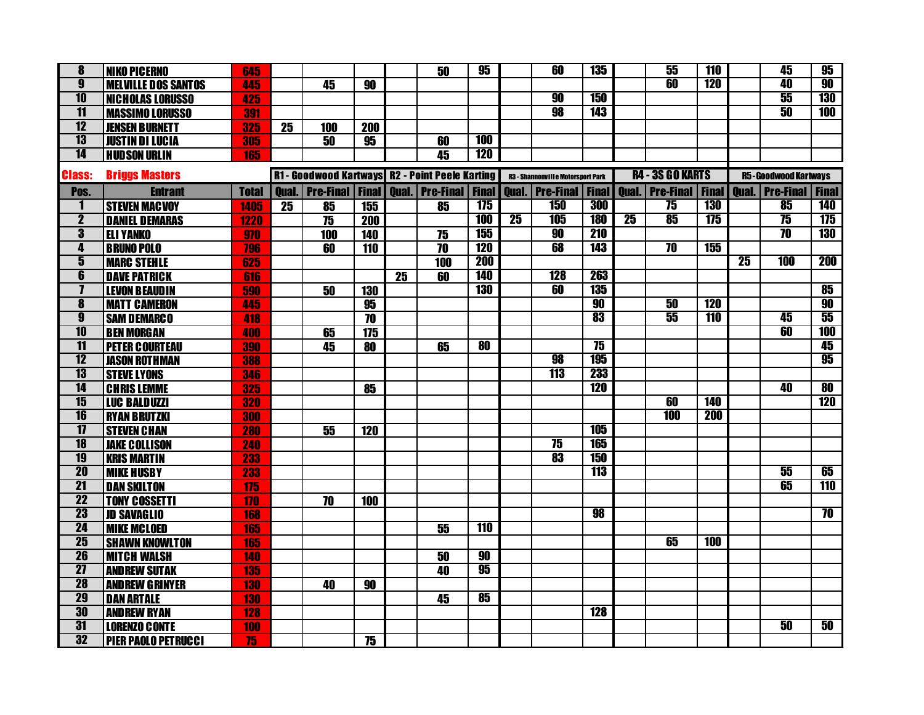| 8                       | <b>NIKO PICERNO</b>        | 645          |              |                                                 |            |    | 50                     | 95           |                 | 60                                       | <b>135</b>      |              | 55                      | 110        |                 | 45                                                   | 95                  |
|-------------------------|----------------------------|--------------|--------------|-------------------------------------------------|------------|----|------------------------|--------------|-----------------|------------------------------------------|-----------------|--------------|-------------------------|------------|-----------------|------------------------------------------------------|---------------------|
| $\overline{\mathbf{g}}$ | <b>MELVILLE DOS SANTOS</b> | 445          |              | 45                                              | 90         |    |                        |              |                 |                                          |                 |              | 60                      | <b>120</b> |                 | 40                                                   | 90                  |
| $\overline{10}$         | <b>NICHOLAS LORUSSO</b>    | 425          |              |                                                 |            |    |                        |              |                 | 90                                       | <b>150</b>      |              |                         |            |                 | 55                                                   | <b>130</b>          |
| $\overline{11}$         | <b>MASSIMO LORUSSO</b>     | 391          |              |                                                 |            |    |                        |              |                 | 98                                       | <b>143</b>      |              |                         |            |                 | 50                                                   | <b>100</b>          |
| 12                      | <b>JENSEN BURNETT</b>      | 325          | 25           | 100                                             | <b>200</b> |    |                        |              |                 |                                          |                 |              |                         |            |                 |                                                      |                     |
| $\overline{13}$         | <b>JUSTIN DI LUCIA</b>     | 305          |              | 50                                              | 95         |    | 60                     | 100          |                 |                                          |                 |              |                         |            |                 |                                                      |                     |
| $\overline{14}$         | <b>HUDSON URLIN</b>        | 165          |              |                                                 |            |    | 45                     | <b>120</b>   |                 |                                          |                 |              |                         |            |                 |                                                      |                     |
| <b>Class:</b>           | <b>Briggs Masters</b>      |              |              | R1 - Goodwood Kartways R2 - Point Peele Karting |            |    |                        |              |                 | <b>R3 - Shannonville Motorsport Park</b> |                 |              | <b>R4 - 3S GO KARTS</b> |            |                 | <b>R5-Goodwood Kartways</b>                          |                     |
| Pos.                    | <b>Entrant</b>             | <b>Total</b> | <b>Oual.</b> | <b>Pre-Final Final</b>                          |            |    | <b>Qual. Pre-Final</b> | <b>Final</b> |                 | <b>Qual.</b> Pre-Final                   | <b>Final</b>    | <b>Oual.</b> |                         |            |                 | <b>Pre-Final   Final   Qual.   Pre-Final   Final</b> |                     |
| 1                       | <b>STEVEN MACVOY</b>       | 1405         | 25           | 85                                              | 155        |    | 85                     | 175          |                 | <b>150</b>                               | 300             |              | $\overline{75}$         | <b>130</b> |                 | 85                                                   | <b>140</b>          |
| $\overline{2}$          | <b>DANIEL DEMARAS</b>      | 1220         |              | 75                                              | <b>200</b> |    |                        | <b>100</b>   | $\overline{25}$ | 105                                      | <b>180</b>      | 25           | 85                      | 175        |                 | $\overline{75}$                                      | 175                 |
| $\overline{\mathbf{3}}$ | <b>ELI YANKO</b>           | 970          |              | 100                                             | 140        |    | 75                     | 155          |                 | 90                                       | <b>210</b>      |              |                         |            |                 | $\overline{10}$                                      | <b>130</b>          |
| 4                       | <b>BRUNO POLO</b>          | 796          |              | 60                                              | 110        |    | 70                     | <b>120</b>   |                 | 68                                       | <b>143</b>      |              | $\overline{10}$         | <b>155</b> |                 |                                                      |                     |
| $\overline{\mathbf{5}}$ | <b>MARC STEHLE</b>         | 625          |              |                                                 |            |    | 100                    | <b>200</b>   |                 |                                          |                 |              |                         |            | $\overline{25}$ | <b>100</b>                                           | 200                 |
| 6                       | <b>DAVE PATRICK</b>        | 616          |              |                                                 |            | 25 | 60                     | <b>140</b>   |                 | <b>128</b>                               | 263             |              |                         |            |                 |                                                      |                     |
| $\mathbf{7}$            | <b>LEVON BEAUDIN</b>       | 590          |              | 50                                              | <b>130</b> |    |                        | <b>130</b>   |                 | 60                                       | <b>135</b>      |              |                         |            |                 |                                                      | 85                  |
| $\overline{\mathbf{8}}$ | <b>MATT CAMERON</b>        | 445          |              |                                                 | 95         |    |                        |              |                 |                                          | 90              |              | 50                      | 120        |                 |                                                      | 90                  |
| $\boldsymbol{9}$        | <b>SAM DEMARCO</b>         | 418          |              |                                                 | 70         |    |                        |              |                 |                                          | 83              |              | 55                      | <b>110</b> |                 | 45                                                   | 55                  |
| $\overline{10}$         | <b>BEN MORGAN</b>          | 400          |              | 65                                              | 175        |    |                        |              |                 |                                          |                 |              |                         |            |                 | 60                                                   | <b>100</b>          |
| $\overline{11}$         | <b>PETER COURTEAU</b>      | 390          |              | 45                                              | 80         |    | 65                     | 80           |                 |                                          | $\overline{75}$ |              |                         |            |                 |                                                      | 45                  |
| 12                      | <b>JASON ROTHMAN</b>       | 388          |              |                                                 |            |    |                        |              |                 | 98                                       | <b>195</b>      |              |                         |            |                 |                                                      | 95                  |
| 13                      | <b>STEVE LYONS</b>         | 346          |              |                                                 |            |    |                        |              |                 | <b>113</b>                               | 233             |              |                         |            |                 |                                                      |                     |
| $\overline{14}$         | <b>CHRIS LEMME</b>         | 325          |              |                                                 | 85         |    |                        |              |                 |                                          | <b>120</b>      |              |                         |            |                 | 40                                                   | $\overline{\bf 80}$ |
| 15                      | <b>LUC BALDUZZI</b>        | 320          |              |                                                 |            |    |                        |              |                 |                                          |                 |              | 60                      | <b>140</b> |                 |                                                      | 120                 |
| 16                      | <b>RYAN BRUTZKI</b>        | 300          |              |                                                 |            |    |                        |              |                 |                                          |                 |              | <b>100</b>              | <b>200</b> |                 |                                                      |                     |
| $\overline{17}$         | <b>STEVEN CHAN</b>         | 280          |              | 55                                              | <b>120</b> |    |                        |              |                 |                                          | <b>105</b>      |              |                         |            |                 |                                                      |                     |
| 18                      | <b>JAKE COLLISON</b>       | 240          |              |                                                 |            |    |                        |              |                 | $\overline{75}$                          | <b>165</b>      |              |                         |            |                 |                                                      |                     |
| 19                      | <b>KRIS MARTIN</b>         | 233          |              |                                                 |            |    |                        |              |                 | 83                                       | <b>150</b>      |              |                         |            |                 |                                                      |                     |
| <b>20</b>               | <b>MIKE HUSBY</b>          | 233          |              |                                                 |            |    |                        |              |                 |                                          | <b>113</b>      |              |                         |            |                 | 55                                                   | 65                  |
| $\overline{21}$         | <b>DAN SKILTON</b>         | 175          |              |                                                 |            |    |                        |              |                 |                                          |                 |              |                         |            |                 | 65                                                   | 110                 |
| $\overline{22}$         | <b>TONY COSSETTI</b>       | 170          |              | 70                                              | 100        |    |                        |              |                 |                                          |                 |              |                         |            |                 |                                                      |                     |
| $\overline{23}$         | <b>JD SAVAGLIO</b>         | 168          |              |                                                 |            |    |                        |              |                 |                                          | 98              |              |                         |            |                 |                                                      | $\overline{\bf 70}$ |
| $\overline{24}$         | <b>MIKE MCLOED</b>         | 165          |              |                                                 |            |    | 55                     | 110          |                 |                                          |                 |              |                         |            |                 |                                                      |                     |
| $\overline{25}$         | <b>SHAWN KNOWLTON</b>      | 165          |              |                                                 |            |    |                        |              |                 |                                          |                 |              | 65                      | <b>100</b> |                 |                                                      |                     |
| 26                      | <b>MITCH WALSH</b>         | 140          |              |                                                 |            |    | 50                     | 90           |                 |                                          |                 |              |                         |            |                 |                                                      |                     |
| $\overline{27}$         | <b>AND REW SUTAK</b>       | 135          |              |                                                 |            |    | 40                     | 95           |                 |                                          |                 |              |                         |            |                 |                                                      |                     |
| <b>28</b>               | <b>AND REW GRINYER</b>     | <b>130</b>   |              | 40                                              | 90         |    |                        |              |                 |                                          |                 |              |                         |            |                 |                                                      |                     |
| 29                      | <b>DAN ARTALE</b>          | 130          |              |                                                 |            |    | 45                     | 85           |                 |                                          |                 |              |                         |            |                 |                                                      |                     |
| 30                      | <b>AND REW RYAN</b>        | 128          |              |                                                 |            |    |                        |              |                 |                                          | <b>128</b>      |              |                         |            |                 |                                                      |                     |
| $\overline{31}$         | <b>LORENZO CONTE</b>       | 100          |              |                                                 |            |    |                        |              |                 |                                          |                 |              |                         |            |                 | 50                                                   | 50                  |
| 32                      | <b>PIER PAOLO PETRUCCI</b> | 75           |              |                                                 | 75         |    |                        |              |                 |                                          |                 |              |                         |            |                 |                                                      |                     |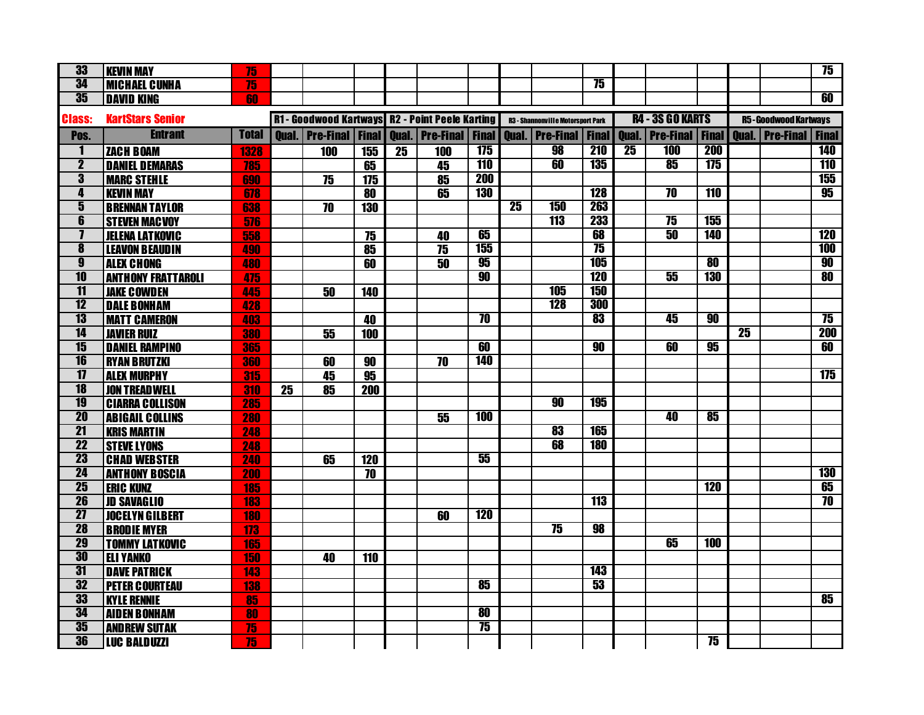| 33                      | <b>KEVIN MAY</b>          | 75           |                 |                                                 |                          |                 |                          |                     |                 |                                          |              |                 |                         |            |    |                                                    | 75              |
|-------------------------|---------------------------|--------------|-----------------|-------------------------------------------------|--------------------------|-----------------|--------------------------|---------------------|-----------------|------------------------------------------|--------------|-----------------|-------------------------|------------|----|----------------------------------------------------|-----------------|
| 34                      | <b>MICHAEL CUNHA</b>      | 75           |                 |                                                 |                          |                 |                          |                     |                 |                                          | 75           |                 |                         |            |    |                                                    |                 |
| 35                      | <b>DAVID KING</b>         | 60           |                 |                                                 |                          |                 |                          |                     |                 |                                          |              |                 |                         |            |    |                                                    | 60              |
| <b>Class:</b>           | <b>KartStars Senior</b>   |              |                 | R1 - Goodwood Kartways R2 - Point Peele Karting |                          |                 |                          |                     |                 | <b>R3 - Shannonville Motorsport Park</b> |              |                 | <b>R4 - 3S GO KARTS</b> |            |    | <b>R5-Goodwood Kartways</b>                        |                 |
| Pos.                    | <b>Entrant</b>            | <b>Total</b> |                 | <b>Oual.</b>   Pre-Final   Final                |                          |                 | <b>Oual.</b>   Pre-Final | <b>Final</b>        |                 | <b>Oual.</b>   Pre-Final                 | <b>Final</b> |                 |                         |            |    | <b>Qual.</b> Pre-Final Final Qual. Pre-Final Final |                 |
| $\mathbf{1}$            | <b>ZACH BOAM</b>          | 1328         |                 | 100                                             | 155                      | $\overline{25}$ | 100                      | 175                 |                 | 98                                       | <b>210</b>   | $\overline{25}$ | <b>100</b>              | <b>200</b> |    |                                                    | <b>140</b>      |
| $\overline{\mathbf{2}}$ | <b>DANIEL DEMARAS</b>     | 785          |                 |                                                 | 65                       |                 | 45                       | <b>110</b>          |                 | 60                                       | <b>135</b>   |                 | 85                      | 175        |    |                                                    | <b>110</b>      |
| $\overline{\mathbf{3}}$ | <b>MARC STEHLE</b>        | 690          |                 | 75                                              | $\overline{175}$         |                 | 85                       | <b>200</b>          |                 |                                          |              |                 |                         |            |    |                                                    | <b>155</b>      |
| 4                       | <b>KEVIN MAY</b>          | 678          |                 |                                                 | $\overline{\bf 80}$      |                 | 65                       | <b>130</b>          |                 |                                          | <b>128</b>   |                 | $\overline{10}$         | <b>110</b> |    |                                                    | 95              |
| $\overline{\mathbf{5}}$ | <b>BRENNAN TAYLOR</b>     | 638          |                 | $\overline{70}$                                 | 130                      |                 |                          |                     | $\overline{25}$ | <b>150</b>                               | 263          |                 |                         |            |    |                                                    |                 |
| $\overline{\mathbf{6}}$ | <b>STEVEN MACVOY</b>      | 576          |                 |                                                 |                          |                 |                          |                     |                 | <b>113</b>                               | <b>233</b>   |                 | $\overline{75}$         | 155        |    |                                                    |                 |
| $\overline{\mathbf{I}}$ | <b>JELENA LATKOVIC</b>    | 558          |                 |                                                 | $\overline{75}$          |                 | 40                       | 65                  |                 |                                          | 68           |                 | 50                      | <b>140</b> |    |                                                    | <b>120</b>      |
| $\overline{\mathbf{8}}$ | <b>LEAVON BEAUDIN</b>     | 490          |                 |                                                 | $\overline{\textbf{85}}$ |                 | 75                       | 155                 |                 |                                          | 75           |                 |                         |            |    |                                                    | <b>100</b>      |
| $\overline{\mathbf{9}}$ | <b>ALEX CHONG</b>         | 480          |                 |                                                 | 60                       |                 | 50                       | 95                  |                 |                                          | <b>105</b>   |                 |                         | 80         |    |                                                    | 90              |
| $\overline{10}$         | <b>ANTHONY FRATTAROLI</b> | 475          |                 |                                                 |                          |                 |                          | 90                  |                 |                                          | <b>120</b>   |                 | 55                      | <b>130</b> |    |                                                    | 80              |
| $\overline{11}$         | <b>JAKE COWDEN</b>        | 445          |                 | $\overline{50}$                                 | 140                      |                 |                          |                     |                 | <b>105</b>                               | <b>150</b>   |                 |                         |            |    |                                                    |                 |
| $\overline{12}$         | <b>DALE BONHAM</b>        | 428          |                 |                                                 |                          |                 |                          |                     |                 | <b>128</b>                               | 300          |                 |                         |            |    |                                                    |                 |
| $\overline{13}$         | <b>MATT CAMERON</b>       | 403          |                 |                                                 | 40                       |                 |                          | 70                  |                 |                                          | 83           |                 | 45                      | 90         |    |                                                    | 75              |
| $\overline{14}$         | <b>JAVIER RUIZ</b>        | 380          |                 | 55                                              | 100                      |                 |                          |                     |                 |                                          |              |                 |                         |            | 25 |                                                    | <b>200</b>      |
| 15                      | <b>DANIEL RAMPINO</b>     | 365          |                 |                                                 |                          |                 |                          | 60                  |                 |                                          | 90           |                 | 60                      | 95         |    |                                                    | 60              |
| $\overline{16}$         | <b>RYAN BRUTZKI</b>       | 360          |                 | 60                                              | 90                       |                 | 70                       | <b>140</b>          |                 |                                          |              |                 |                         |            |    |                                                    |                 |
| $\overline{17}$         | <b>ALEX MURPHY</b>        | 315          |                 | 45                                              | $\overline{95}$          |                 |                          |                     |                 |                                          |              |                 |                         |            |    |                                                    | 175             |
| 18                      | <b>JON TREADWELL</b>      | 310          | $\overline{25}$ | 85                                              | 200                      |                 |                          |                     |                 |                                          |              |                 |                         |            |    |                                                    |                 |
| <b>19</b>               | <b>CIARRA COLLISON</b>    | 285          |                 |                                                 |                          |                 |                          |                     |                 | 90                                       | <b>195</b>   |                 |                         |            |    |                                                    |                 |
| <b>20</b>               | <b>ABIGAIL COLLINS</b>    | 280          |                 |                                                 |                          |                 | 55                       | <b>100</b>          |                 |                                          |              |                 | 40                      | 85         |    |                                                    |                 |
| $\overline{21}$         | <b>KRIS MARTIN</b>        | 248          |                 |                                                 |                          |                 |                          |                     |                 | 83                                       | <b>165</b>   |                 |                         |            |    |                                                    |                 |
| $\overline{22}$         | <b>STEVE LYONS</b>        | 248          |                 |                                                 |                          |                 |                          |                     |                 | 68                                       | <b>180</b>   |                 |                         |            |    |                                                    |                 |
| <b>23</b>               | <b>CHAD WEBSTER</b>       | 240          |                 | 65                                              | 120                      |                 |                          | 55                  |                 |                                          |              |                 |                         |            |    |                                                    |                 |
| 24                      | <b>ANTHONY BOSCIA</b>     | 200          |                 |                                                 | $\overline{10}$          |                 |                          |                     |                 |                                          |              |                 |                         |            |    |                                                    | <b>130</b>      |
| $\overline{25}$         | <b>ERIC KUNZ</b>          | 185          |                 |                                                 |                          |                 |                          |                     |                 |                                          |              |                 |                         | 120        |    |                                                    | 65              |
| 26                      | <b>JD SAVAGLIO</b>        | <b>183</b>   |                 |                                                 |                          |                 |                          |                     |                 |                                          | <b>113</b>   |                 |                         |            |    |                                                    | $\overline{10}$ |
| $\overline{27}$         | <b>JOCELYN GILBERT</b>    | <b>180</b>   |                 |                                                 |                          |                 | 60                       | <b>120</b>          |                 |                                          |              |                 |                         |            |    |                                                    |                 |
| <b>28</b>               | <b>BRODIE MYER</b>        | 173          |                 |                                                 |                          |                 |                          |                     |                 | 75                                       | 98           |                 |                         |            |    |                                                    |                 |
| 29                      | <b>TOMMY LATKOVIC</b>     | 165          |                 |                                                 |                          |                 |                          |                     |                 |                                          |              |                 | 65                      | 100        |    |                                                    |                 |
| 30                      | <b>ELI YANKO</b>          | 150          |                 | 40                                              | 110                      |                 |                          |                     |                 |                                          |              |                 |                         |            |    |                                                    |                 |
| 31                      | <b>DAVE PATRICK</b>       | 143          |                 |                                                 |                          |                 |                          |                     |                 |                                          | <b>143</b>   |                 |                         |            |    |                                                    |                 |
| 32                      | <b>PETER COURTEAU</b>     | <b>138</b>   |                 |                                                 |                          |                 |                          | 85                  |                 |                                          | 53           |                 |                         |            |    |                                                    |                 |
| 33                      | <b>KYLE RENNIE</b>        | 85           |                 |                                                 |                          |                 |                          |                     |                 |                                          |              |                 |                         |            |    |                                                    | 85              |
| 34                      | <b>AIDEN BONHAM</b>       | 80           |                 |                                                 |                          |                 |                          | $\overline{\bf 80}$ |                 |                                          |              |                 |                         |            |    |                                                    |                 |
| 35                      | <b>AND REW SUTAK</b>      | 75           |                 |                                                 |                          |                 |                          | 75                  |                 |                                          |              |                 |                         |            |    |                                                    |                 |
| 36                      | <b>LUC BALDUZZI</b>       | 75           |                 |                                                 |                          |                 |                          |                     |                 |                                          |              |                 |                         | 75         |    |                                                    |                 |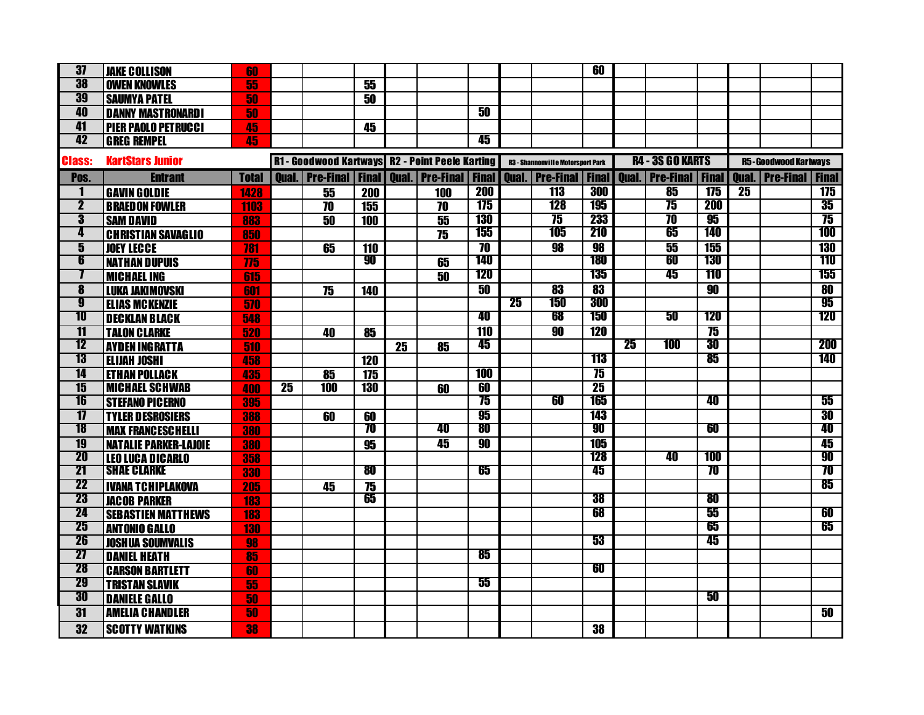| $\overline{37}$         | <b>JAKE COLLISON</b>         | 60           |                 |            |            |    |                                                            |                     |    |                                          | 60              |              |                            |                 |                 |                                  |                          |
|-------------------------|------------------------------|--------------|-----------------|------------|------------|----|------------------------------------------------------------|---------------------|----|------------------------------------------|-----------------|--------------|----------------------------|-----------------|-----------------|----------------------------------|--------------------------|
| 38                      | <b>OWEN KNOWLES</b>          | 55           |                 |            | 55         |    |                                                            |                     |    |                                          |                 |              |                            |                 |                 |                                  |                          |
| 39                      | <b>SAUMYA PATEL</b>          | 50           |                 |            | 50         |    |                                                            |                     |    |                                          |                 |              |                            |                 |                 |                                  |                          |
| 40                      | <b>DANNY MASTRONARDI</b>     | 50           |                 |            |            |    |                                                            | 50                  |    |                                          |                 |              |                            |                 |                 |                                  |                          |
| 41                      | <b>PIER PAOLO PETRUCCI</b>   | 45           |                 |            | 45         |    |                                                            |                     |    |                                          |                 |              |                            |                 |                 |                                  |                          |
| 42                      | <b>GREG REMPEL</b>           | 45           |                 |            |            |    |                                                            | 45                  |    |                                          |                 |              |                            |                 |                 |                                  |                          |
| <b>Class:</b>           | <b>KartStars Junior</b>      |              |                 |            |            |    | R1 - Goodwood Kartways R2 - Point Peele Karting            |                     |    | <b>R3 - Shannonville Motorsport Park</b> |                 |              | <b>R4 - 3S GO KARTS</b>    |                 |                 | <b>R5-Goodwood Kartways</b>      |                          |
| Pos.                    | <b>Entrant</b>               | <b>Total</b> |                 |            |            |    | <b>Qual. Pre-Final   Final   Qual.   Pre-Final   Final</b> |                     |    | <b>Oual.</b> Pre-Final                   | <b>Final</b>    | <b>Oual.</b> | <b>Pre-Final   Final  </b> |                 |                 | <b>Oual.   Pre-Final   Final</b> |                          |
| 1                       | <b>GAVIN GOLDIE</b>          | 1428         |                 | 55         | <b>200</b> |    | 100                                                        | <b>200</b>          |    | <b>113</b>                               | 300             |              | 85                         | 175             | $\overline{25}$ |                                  | 175                      |
| $\overline{2}$          | <b>BRAEDON FOWLER</b>        | 1103         |                 | 70         | 155        |    | 70                                                         | 175                 |    | <b>128</b>                               | <b>195</b>      |              | $\overline{75}$            | <b>200</b>      |                 |                                  | 35                       |
| $\overline{\mathbf{3}}$ | <b>SAM DAVID</b>             | 883          |                 | 50         | <b>100</b> |    | 55                                                         | <b>130</b>          |    | $\overline{75}$                          | 233             |              | $\overline{\bf 70}$        | 95              |                 |                                  | 75                       |
| 4                       | <b>CHRISTIAN SAVAGLIO</b>    | 850          |                 |            |            |    | 75                                                         | 155                 |    | 105                                      | 210             |              | 65                         | 140             |                 |                                  | 100                      |
| $\overline{\mathbf{5}}$ | <b>JOEY LECCE</b>            | 781          |                 | 65         | 110        |    |                                                            | $\overline{\bf 70}$ |    | 98                                       | 98              |              | 55                         | 155             |                 |                                  | <b>130</b>               |
| 6                       | <b>NATHAN DUPUIS</b>         | 775          |                 |            | 90         |    | 65                                                         | <b>140</b>          |    |                                          | 180             |              | 60                         | <b>130</b>      |                 |                                  | 110                      |
| 7                       | <b>MICHAEL ING</b>           | 615          |                 |            |            |    | 50                                                         | <b>120</b>          |    |                                          | 135             |              | 45                         | 110             |                 |                                  | 155                      |
| 8                       | <b>LUKA JAKIMOVSKI</b>       | 601          |                 | 75         | 140        |    |                                                            | 50                  |    | 83                                       | 83              |              |                            | 90              |                 |                                  | $\overline{\mathbf{80}}$ |
| g                       | <b>ELIAS MCKENZIE</b>        | 570          |                 |            |            |    |                                                            |                     | 25 | 150                                      | 300             |              |                            |                 |                 |                                  | 95                       |
| 10                      | <b>DECKLAN BLACK</b>         | 548          |                 |            |            |    |                                                            | 40                  |    | 68                                       | 150             |              | 50                         | <b>120</b>      |                 |                                  | 120                      |
| $\overline{11}$         | <b>TALON CLARKE</b>          | 520          |                 | 40         | 85         |    |                                                            | <b>110</b>          |    | 90                                       | <b>120</b>      |              |                            | $\overline{75}$ |                 |                                  |                          |
| 12                      | <b>AYDEN INGRATTA</b>        | 510          |                 |            |            | 25 | 85                                                         | 45                  |    |                                          |                 | 25           | 100                        | 30              |                 |                                  | 200                      |
| 13                      | <b>ELIJAH JOSHI</b>          | 458          |                 |            | 120        |    |                                                            |                     |    |                                          | 113             |              |                            | 85              |                 |                                  | 140                      |
| 14                      | <b>ETHAN POLLACK</b>         | 435          |                 | 85         | 175        |    |                                                            | <b>100</b>          |    |                                          | 75              |              |                            |                 |                 |                                  |                          |
| $\overline{15}$         | <b>MICHAEL SCHWAB</b>        | 400          | $\overline{25}$ | <b>100</b> | <b>130</b> |    | 60                                                         | 60                  |    |                                          | $\overline{25}$ |              |                            |                 |                 |                                  |                          |
| 16                      | <b>STEFANO PICERNO</b>       | 395          |                 |            |            |    |                                                            | 75                  |    | 60                                       | 165             |              |                            | 40              |                 |                                  | 55                       |
| $\overline{17}$         | <b>TYLER DESROSIERS</b>      | 388          |                 | 60         | 60         |    |                                                            | 95                  |    |                                          | 143             |              |                            |                 |                 |                                  | 30                       |
| 18                      | <b>MAX FRANCESCHELLI</b>     | 380          |                 |            | 70         |    | 40                                                         | 80                  |    |                                          | 90              |              |                            | 60              |                 |                                  | 40                       |
| 19                      | <b>NATALIE PARKER-LAJOIE</b> | 380          |                 |            | 95         |    | 45                                                         | 90                  |    |                                          | <b>105</b>      |              |                            |                 |                 |                                  | 45                       |
| 20                      | <b>LEO LUCA DICARLO</b>      | 358          |                 |            |            |    |                                                            |                     |    |                                          | <b>128</b>      |              | 40                         | <b>100</b>      |                 |                                  | 90                       |
| $\overline{21}$         | <b>SHAE CLARKE</b>           | 330          |                 |            | 80         |    |                                                            | 65                  |    |                                          | 45              |              |                            | 70              |                 |                                  | 70                       |
| 22                      | <b>IVANA TCHIPLAKOVA</b>     | 205          |                 | 45         | 75         |    |                                                            |                     |    |                                          |                 |              |                            |                 |                 |                                  | 85                       |
| 23                      | <b>JACOB PARKER</b>          | 183          |                 |            | 65         |    |                                                            |                     |    |                                          | 38              |              |                            | 80              |                 |                                  |                          |
| 24                      | <b>SEBASTIEN MATTHEWS</b>    | 183          |                 |            |            |    |                                                            |                     |    |                                          | 68              |              |                            | 55              |                 |                                  | 60                       |
| 25                      | <b>ANTONIO GALLO</b>         | <b>130</b>   |                 |            |            |    |                                                            |                     |    |                                          |                 |              |                            | 65              |                 |                                  | 65                       |
| 26                      | <b>JOSHUA SOUMVALIS</b>      | 98           |                 |            |            |    |                                                            |                     |    |                                          | 53              |              |                            | 45              |                 |                                  |                          |
| 27                      | <b>DANIEL HEATH</b>          | 85           |                 |            |            |    |                                                            | 85                  |    |                                          |                 |              |                            |                 |                 |                                  |                          |
| 28                      | <b>CARSON BARTLETT</b>       | 60           |                 |            |            |    |                                                            |                     |    |                                          | 60              |              |                            |                 |                 |                                  |                          |
| 29                      | <b>TRISTAN SLAVIK</b>        | 55           |                 |            |            |    |                                                            | 55                  |    |                                          |                 |              |                            |                 |                 |                                  |                          |
| 30                      | <b>DANIELE GALLO</b>         | 50           |                 |            |            |    |                                                            |                     |    |                                          |                 |              |                            | 50              |                 |                                  |                          |
| 31                      | <b>AMELIA CHANDLER</b>       | 50           |                 |            |            |    |                                                            |                     |    |                                          |                 |              |                            |                 |                 |                                  | 50                       |
| 32                      | <b>SCOTTY WATKINS</b>        | 38           |                 |            |            |    |                                                            |                     |    |                                          | 38              |              |                            |                 |                 |                                  |                          |